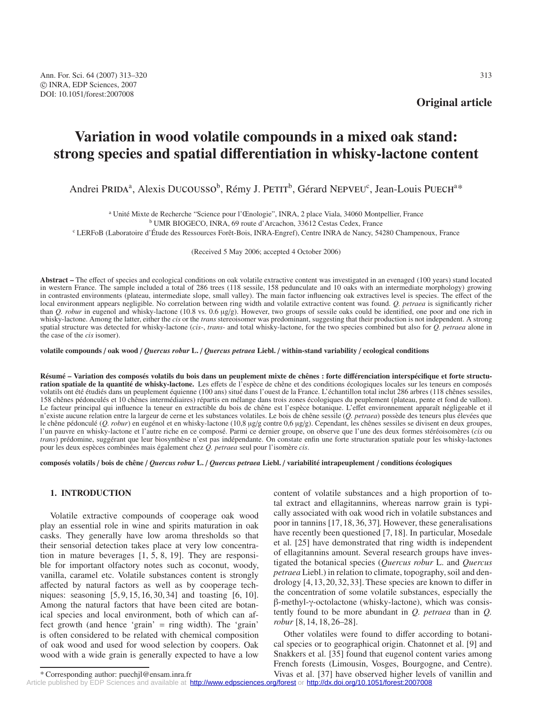# **Variation in wood volatile compounds in a mixed oak stand: strong species and spatial di**ff**erentiation in whisky-lactone content**

Andrei PRIDA<sup>a</sup>, Alexis DUCOUSSO<sup>b</sup>, Rémy J. PETIT<sup>b</sup>, Gérard NEPVEU<sup>c</sup>, Jean-Louis PUECH<sup>a\*</sup>

<sup>a</sup> Unité Mixte de Recherche "Science pour l'Œnologie", INRA, 2 place Viala, 34060 Montpellier, France <sup>b</sup> UMR BIOGECO, INRA, 69 route d'Arcachon, 33612 Cestas Cedex, France

<sup>c</sup> LERFoB (Laboratoire d'Étude des Ressources Forêt-Bois, INRA-Engref), Centre INRA de Nancy, 54280 Champenoux, France

(Received 5 May 2006; accepted 4 October 2006)

**Abstract –** The effect of species and ecological conditions on oak volatile extractive content was investigated in an evenaged (100 years) stand located in western France. The sample included a total of 286 trees (118 sessile, 158 pedunculate and 10 oaks with an intermediate morphology) growing in contrasted environments (plateau, intermediate slope, small valley). The main factor influencing oak extractives level is species. The effect of the local environment appears negligible. No correlation between ring width and volatile extractive content was found. *Q. petraea* is significantly richer than *Q. robur* in eugenol and whisky-lactone (10.8 vs. 0.6 µg/g). However, two groups of sessile oaks could be identified, one poor and one rich in whisky-lactone. Among the latter, either the *cis* or the *trans* stereoisomer was predominant, suggesting that their production is not independent. A strong spatial structure was detected for whisky-lactone (*cis*-, *trans*- and total whisky-lactone, for the two species combined but also for *Q. petraea* alone in the case of the *cis* isomer).

**volatile compounds** / **oak wood** / *Quercus robur* **L.** / *Quercus petraea* **Liebl.** / **within-stand variability** / **ecological conditions**

**Résumé – Variation des composés volatils du bois dans un peuplement mixte de chênes : forte di**ff**érenciation interspécifique et forte structuration spatiale de la quantité de whisky-lactone.** Les effets de l'espèce de chêne et des conditions écologiques locales sur les teneurs en composés volatils ont été étudiés dans un peuplement équienne (100 ans) situé dans l'ouest de la France. L'échantillon total inclut 286 arbres (118 chênes sessiles, 158 chênes pédonculés et 10 chênes intermédiaires) répartis en mélange dans trois zones écologiques du peuplement (plateau, pente et fond de vallon). Le facteur principal qui influence la teneur en extractible du bois de chêne est l'espèce botanique. L'effet environnement apparaît négligeable et il n'existe aucune relation entre la largeur de cerne et les substances volatiles. Le bois de chêne sessile (*Q. petraea*) possède des teneurs plus élevées que le chêne pédonculé (*Q. robur*) en eugénol et en whisky-lactone (10,8 µg/g contre 0,6 µg/g). Cependant, les chênes sessiles se divisent en deux groupes, l'un pauvre en whisky-lactone et l'autre riche en ce composé. Parmi ce dernier groupe, on observe que l'une des deux formes stéréoisomères (*cis* ou *trans*) prédomine, suggérant que leur biosynthèse n'est pas indépendante. On constate enfin une forte structuration spatiale pour les whisky-lactones pour les deux espèces combinées mais également chez *Q. petraea* seul pour l'isomère *cis*.

**composés volatils** / **bois de chêne** / *Quercus robur* **L.** / *Quercus petraea* **Liebl.** / **variabilité intrapeuplement** / **conditions écologiques**

## **1. INTRODUCTION**

Volatile extractive compounds of cooperage oak wood play an essential role in wine and spirits maturation in oak casks. They generally have low aroma thresholds so that their sensorial detection takes place at very low concentration in mature beverages [1, 5, 8, 19]. They are responsible for important olfactory notes such as coconut, woody, vanilla, caramel etc. Volatile substances content is strongly affected by natural factors as well as by cooperage techniques: seasoning [5, 9, 15, 16, 30, 34] and toasting [6, 10]. Among the natural factors that have been cited are botanical species and local environment, both of which can affect growth (and hence 'grain' = ring width). The 'grain' is often considered to be related with chemical composition of oak wood and used for wood selection by coopers. Oak wood with a wide grain is generally expected to have a low content of volatile substances and a high proportion of total extract and ellagitannins, whereas narrow grain is typically associated with oak wood rich in volatile substances and poor in tannins [17, 18, 36, 37]. However, these generalisations have recently been questioned [7, 18]. In particular, Mosedale et al. [25] have demonstrated that ring width is independent of ellagitannins amount. Several research groups have investigated the botanical species (*Quercus robur* L. and *Quercus petraea* Liebl.) in relation to climate, topography, soil and dendrology [4,13,20,32,33]. These species are known to differ in the concentration of some volatile substances, especially the β-methyl-γ-octolactone (whisky-lactone), which was consistently found to be more abundant in *Q. petraea* than in *Q. robur* [8, 14, 18, 26–28].

Other volatiles were found to differ according to botanical species or to geographical origin. Chatonnet et al. [9] and Snakkers et al. [35] found that eugenol content varies among French forests (Limousin, Vosges, Bourgogne, and Centre). Vivas et al. [37] have observed higher levels of vanillin and

[Article published by EDP Sciences and available at http://www.edpsciences.org/forest](http://www.edpsciences.org/forest) or <http://dx.doi.org/10.1051/forest:2007008>

<sup>\*</sup> Corresponding author: puechjl@ensam.inra.fr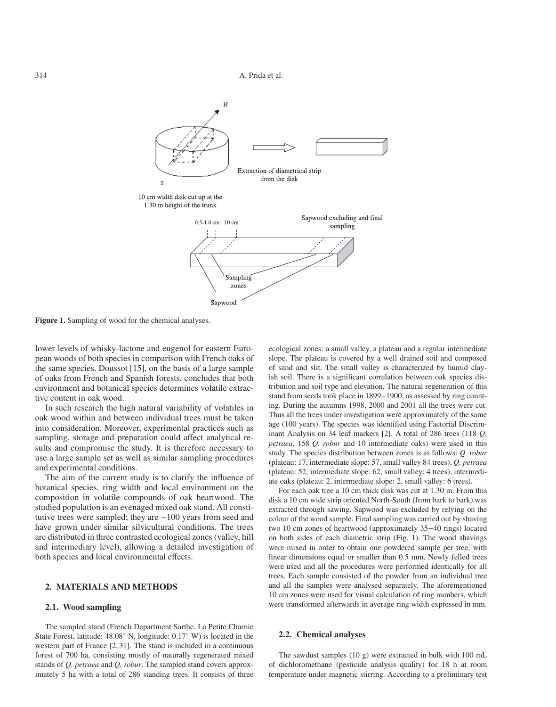

**Figure 1.** Sampling of wood for the chemical analyses.

lower levels of whisky-lactone and eugenol for eastern European woods of both species in comparison with French oaks of the same species. Doussot [15], on the basis of a large sample of oaks from French and Spanish forests, concludes that both environment and botanical species determines volatile extractive content in oak wood.

In such research the high natural variability of volatiles in oak wood within and between individual trees must be taken into consideration. Moreover, experimental practices such as sampling, storage and preparation could affect analytical results and compromise the study. It is therefore necessary to use a large sample set as well as similar sampling procedures and experimental conditions.

The aim of the current study is to clarify the influence of botanical species, ring width and local environment on the composition in volatile compounds of oak heartwood. The studied population is an evenaged mixed oak stand. All constitutive trees were sampled; they are ∼100 years from seed and have grown under similar silvicultural conditions. The trees are distributed in three contrasted ecological zones (valley, hill and intermediary level), allowing a detailed investigation of both species and local environmental effects.

### **2. MATERIALS AND METHODS**

#### **2.1. Wood sampling**

The sampled stand (French Department Sarthe, La Petite Charnie State Forest, latitude: 48.08◦ N, longitude: 0.17◦ W) is located in the western part of France [2, 31]. The stand is included in a continuous forest of 700 ha, consisting mostly of naturally regenerated mixed stands of *Q. petraea* and *Q. robur*. The sampled stand covers approximately 5 ha with a total of 286 standing trees. It consists of three ecological zones: a small valley, a plateau and a regular intermediate slope. The plateau is covered by a well drained soil and composed of sand and slit. The small valley is characterized by humid clayish soil. There is a significant correlation between oak species distribution and soil type and elevation. The natural regeneration of this stand from seeds took place in 1899−1900, as assessed by ring counting. During the autumns 1998, 2000 and 2001 all the trees were cut. Thus all the trees under investigation were approximately of the same age (100 years). The species was identified using Factorial Discriminant Analysis on 34 leaf markers [2]. A total of 286 trees (118 *Q. petraea*, 158 *Q. robur* and 10 intermediate oaks) were used in this study. The species distribution between zones is as follows: *Q. robur* (plateau: 17, intermediate slope: 57, small valley 84 trees), *Q. petraea* (plateau: 52, intermediate slope: 62, small valley: 4 trees), intermediate oaks (plateau: 2, intermediate slope: 2, small valley: 6 trees).

For each oak tree a 10 cm thick disk was cut at 1.30 m. From this disk a 10 cm wide strip oriented North-South (from bark to bark) was extracted through sawing. Sapwood was excluded by relying on the colour of the wood sample. Final sampling was carried out by shaving two 10 cm zones of heartwood (approximately 35−40 rings) located on both sides of each diametric strip (Fig. 1). The wood shavings were mixed in order to obtain one powdered sample per tree, with linear dimensions equal or smaller than 0.5 mm. Newly felled trees were used and all the procedures were performed identically for all trees. Each sample consisted of the powder from an individual tree and all the samples were analysed separately. The aforementioned 10 cm zones were used for visual calculation of ring numbers, which were transformed afterwards in average ring width expressed in mm.

## **2.2. Chemical analyses**

The sawdust samples (10 g) were extracted in bulk with 100 mL of dichloromethane (pesticide analysis quality) for 18 h at room temperature under magnetic stirring. According to a preliminary test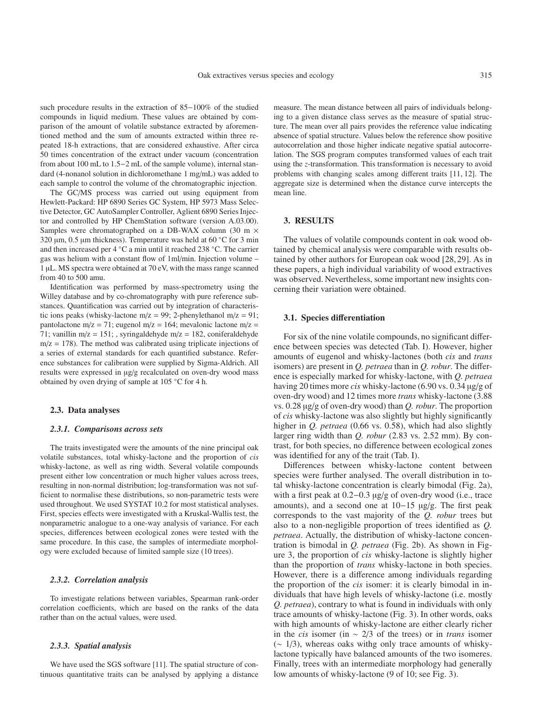such procedure results in the extraction of 85−100% of the studied compounds in liquid medium. These values are obtained by comparison of the amount of volatile substance extracted by aforementioned method and the sum of amounts extracted within three repeated 18-h extractions, that are considered exhaustive. After circa 50 times concentration of the extract under vacuum (concentration from about 100 mL to 1.5−2 mL of the sample volume), internal standard (4-nonanol solution in dichloromethane 1 mg/mL) was added to each sample to control the volume of the chromatographic injection.

The GC/MS process was carried out using equipment from Hewlett-Packard: HP 6890 Series GC System, HP 5973 Mass Selective Detector, GC AutoSampler Controller, Aglient 6890 Series Injector and controlled by HP ChemStation software (version A.03.00). Samples were chromatographed on a DB-WAX column (30 m  $\times$ 320  $\mu$ m, 0.5  $\mu$ m thickness). Temperature was held at 60 °C for 3 min and then increased per 4 ◦C a min until it reached 238 ◦C. The carrier gas was helium with a constant flow of 1ml/min. Injection volume – 1 µL. MS spectra were obtained at 70 eV, with the mass range scanned from 40 to 500 amu.

Identification was performed by mass-spectrometry using the Willey database and by co-chromatography with pure reference substances. Quantification was carried out by integration of characteristic ions peaks (whisky-lactone m/z = 99; 2-phenylethanol m/z = 91; pantolactone m/z = 71; eugenol m/z = 164; mevalonic lactone m/z = 71; vanillin m/z = 151; , syringaldehyde m/z = 182, coniferaldehyde  $m/z = 178$ ). The method was calibrated using triplicate injections of a series of external standards for each quantified substance. Reference substances for calibration were supplied by Sigma-Aldrich. All results were expressed in µg/g recalculated on oven-dry wood mass obtained by oven drying of sample at 105 ◦C for 4 h.

### **2.3. Data analyses**

#### *2.3.1. Comparisons across sets*

The traits investigated were the amounts of the nine principal oak volatile substances, total whisky-lactone and the proportion of *cis* whisky-lactone, as well as ring width. Several volatile compounds present either low concentration or much higher values across trees, resulting in non-normal distribution; log-transformation was not sufficient to normalise these distributions, so non-parametric tests were used throughout. We used SYSTAT 10.2 for most statistical analyses. First, species effects were investigated with a Kruskal-Wallis test, the nonparametric analogue to a one-way analysis of variance. For each species, differences between ecological zones were tested with the same procedure. In this case, the samples of intermediate morphology were excluded because of limited sample size (10 trees).

### *2.3.2. Correlation analysis*

To investigate relations between variables, Spearman rank-order correlation coefficients, which are based on the ranks of the data rather than on the actual values, were used.

#### *2.3.3. Spatial analysis*

We have used the SGS software [11]. The spatial structure of continuous quantitative traits can be analysed by applying a distance measure. The mean distance between all pairs of individuals belonging to a given distance class serves as the measure of spatial structure. The mean over all pairs provides the reference value indicating absence of spatial structure. Values below the reference show positive autocorrelation and those higher indicate negative spatial autocorrelation. The SGS program computes transformed values of each trait using the *z*-transformation. This transformation is necessary to avoid problems with changing scales among different traits [11, 12]. The aggregate size is determined when the distance curve intercepts the mean line.

## **3. RESULTS**

The values of volatile compounds content in oak wood obtained by chemical analysis were comparable with results obtained by other authors for European oak wood [28,29]. As in these papers, a high individual variability of wood extractives was observed. Nevertheless, some important new insights concerning their variation were obtained.

## **3.1. Species di**ff**erentiation**

For six of the nine volatile compounds, no significant difference between species was detected (Tab. I). However, higher amounts of eugenol and whisky-lactones (both *cis* and *trans* isomers) are present in *Q. petraea* than in *Q. robur*. The difference is especially marked for whisky-lactone, with *Q. petraea* having 20 times more *cis* whisky-lactone (6.90 vs. 0.34 µg/g of oven-dry wood) and 12 times more *trans* whisky-lactone (3.88 vs. 0.28 µg/g of oven-dry wood) than *Q. robur*. The proportion of *cis* whisky-lactone was also slightly but highly significantly higher in *Q. petraea* (0.66 vs. 0.58), which had also slightly larger ring width than *Q. robur* (2.83 vs. 2.52 mm). By contrast, for both species, no difference between ecological zones was identified for any of the trait (Tab. I).

Differences between whisky-lactone content between species were further analysed. The overall distribution in total whisky-lactone concentration is clearly bimodal (Fig. 2a), with a first peak at 0.2−0.3 µg/g of oven-dry wood (i.e., trace amounts), and a second one at 10−15 µg/g. The first peak corresponds to the vast majority of the *Q. robur* trees but also to a non-negligible proportion of trees identified as *Q. petraea*. Actually, the distribution of whisky-lactone concentration is bimodal in *Q. petraea* (Fig. 2b). As shown in Figure 3, the proportion of *cis* whisky-lactone is slightly higher than the proportion of *trans* whisky-lactone in both species. However, there is a difference among individuals regarding the proportion of the *cis* isomer: it is clearly bimodal in individuals that have high levels of whisky-lactone (i.e. mostly *Q. petraea*), contrary to what is found in individuals with only trace amounts of whisky-lactone (Fig. 3). In other words, oaks with high amounts of whisky-lactone are either clearly richer in the *cis* isomer (in ∼ 2/3 of the trees) or in *trans* isomer (∼ 1/3), whereas oaks withg only trace amounts of whiskylactone typically have balanced amounts of the two isomeres. Finally, trees with an intermediate morphology had generally low amounts of whisky-lactone (9 of 10; see Fig. 3).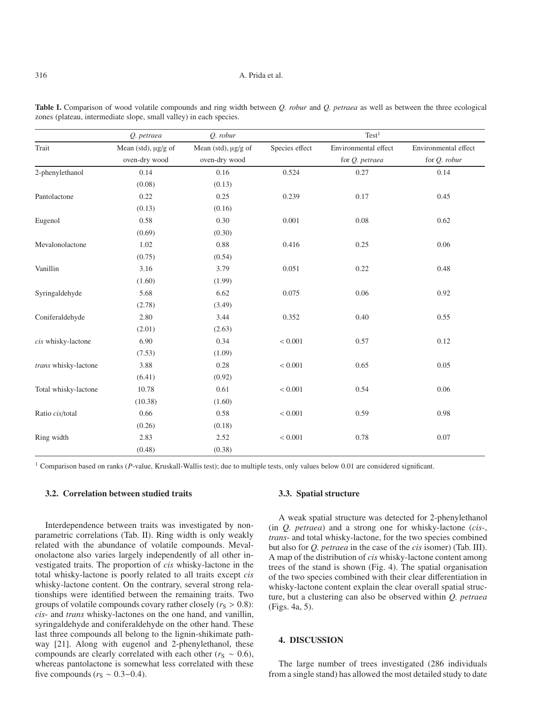#### 316 A. Prida et al.

|                      | Q. petraea                           | Q. robur                             |                | Test <sup>1</sup>                      |                                      |
|----------------------|--------------------------------------|--------------------------------------|----------------|----------------------------------------|--------------------------------------|
| Trait                | Mean (std), µg/g of<br>oven-dry wood | Mean (std), µg/g of<br>oven-dry wood | Species effect | Environmental effect<br>for Q. petraea | Environmental effect<br>for Q. robur |
| 2-phenylethanol      | 0.14                                 | 0.16                                 | 0.524          | 0.27                                   | 0.14                                 |
|                      | (0.08)                               | (0.13)                               |                |                                        |                                      |
| Pantolactone         | 0.22                                 | 0.25                                 | 0.239          | 0.17                                   | 0.45                                 |
|                      | (0.13)                               | (0.16)                               |                |                                        |                                      |
| Eugenol              | 0.58                                 | 0.30                                 | 0.001          | 0.08                                   | 0.62                                 |
|                      | (0.69)                               | (0.30)                               |                |                                        |                                      |
| Mevalonolactone      | 1.02                                 | 0.88                                 | 0.416          | 0.25                                   | 0.06                                 |
|                      | (0.75)                               | (0.54)                               |                |                                        |                                      |
| Vanillin             | 3.16                                 | 3.79                                 | 0.051          | 0.22                                   | 0.48                                 |
|                      | (1.60)                               | (1.99)                               |                |                                        |                                      |
| Syringaldehyde       | 5.68                                 | 6.62                                 | 0.075          | 0.06                                   | 0.92                                 |
|                      | (2.78)                               | (3.49)                               |                |                                        |                                      |
| Coniferaldehyde      | 2.80                                 | 3.44                                 | 0.352          | 0.40                                   | 0.55                                 |
|                      | (2.01)                               | (2.63)                               |                |                                        |                                      |
| cis whisky-lactone   | 6.90                                 | 0.34                                 | < 0.001        | 0.57                                   | 0.12                                 |
|                      | (7.53)                               | (1.09)                               |                |                                        |                                      |
| trans whisky-lactone | 3.88                                 | 0.28                                 | < 0.001        | 0.65                                   | 0.05                                 |
|                      | (6.41)                               | (0.92)                               |                |                                        |                                      |
| Total whisky-lactone | 10.78                                | 0.61                                 | < 0.001        | 0.54                                   | 0.06                                 |
|                      | (10.38)                              | (1.60)                               |                |                                        |                                      |
| Ratio cis/total      | 0.66                                 | 0.58                                 | < 0.001        | 0.59                                   | 0.98                                 |
|                      | (0.26)                               | (0.18)                               |                |                                        |                                      |
| Ring width           | 2.83                                 | 2.52                                 | < 0.001        | 0.78                                   | 0.07                                 |
|                      | (0.48)                               | (0.38)                               |                |                                        |                                      |

**Table I.** Comparison of wood volatile compounds and ring width between *Q. robur* and *Q. petraea* as well as between the three ecological zones (plateau, intermediate slope, small valley) in each species.

<sup>1</sup> Comparison based on ranks (*P*-value, Kruskall-Wallis test); due to multiple tests, only values below 0.01 are considered significant.

## **3.2. Correlation between studied traits**

Interdependence between traits was investigated by nonparametric correlations (Tab. II). Ring width is only weakly related with the abundance of volatile compounds. Mevalonolactone also varies largely independently of all other investigated traits. The proportion of *cis* whisky-lactone in the total whisky-lactone is poorly related to all traits except *cis* whisky-lactone content. On the contrary, several strong relationships were identified between the remaining traits. Two groups of volatile compounds covary rather closely  $(r<sub>S</sub> > 0.8)$ : *cis*- and *trans* whisky-lactones on the one hand, and vanillin, syringaldehyde and coniferaldehyde on the other hand. These last three compounds all belong to the lignin-shikimate pathway [21]. Along with eugenol and 2-phenylethanol, these compounds are clearly correlated with each other ( $r_S \sim 0.6$ ), whereas pantolactone is somewhat less correlated with these five compounds ( $r<sub>S</sub> \sim 0.3-0.4$ ).

#### **3.3. Spatial structure**

A weak spatial structure was detected for 2-phenylethanol (in *Q. petraea*) and a strong one for whisky-lactone (*cis*-, *trans*- and total whisky-lactone, for the two species combined but also for *Q. petraea* in the case of the *cis* isomer) (Tab. III). A map of the distribution of *cis* whisky-lactone content among trees of the stand is shown (Fig. 4). The spatial organisation of the two species combined with their clear differentiation in whisky-lactone content explain the clear overall spatial structure, but a clustering can also be observed within *Q. petraea* (Figs. 4a, 5).

## **4. DISCUSSION**

The large number of trees investigated (286 individuals from a single stand) has allowed the most detailed study to date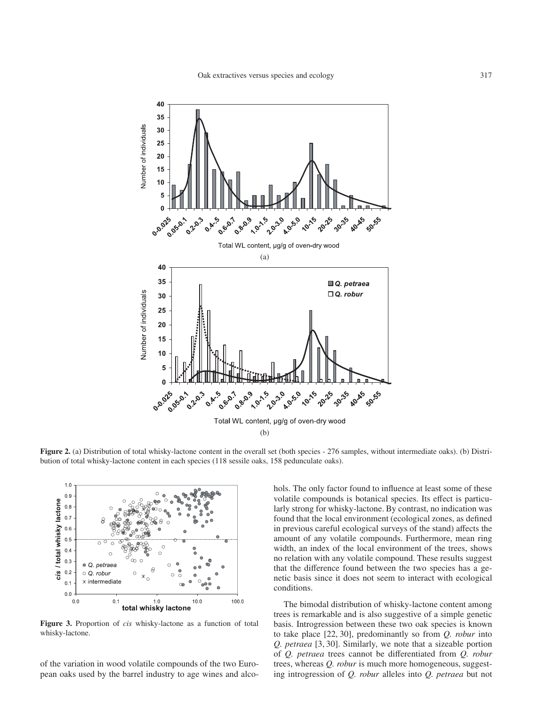

**Figure 2.** (a) Distribution of total whisky-lactone content in the overall set (both species - 276 samples, without intermediate oaks). (b) Distribution of total whisky-lactone content in each species (118 sessile oaks, 158 pedunculate oaks).



**Figure 3.** Proportion of *cis* whisky-lactone as a function of total whisky-lactone.

of the variation in wood volatile compounds of the two European oaks used by the barrel industry to age wines and alcohols. The only factor found to influence at least some of these volatile compounds is botanical species. Its effect is particularly strong for whisky-lactone. By contrast, no indication was found that the local environment (ecological zones, as defined in previous careful ecological surveys of the stand) affects the amount of any volatile compounds. Furthermore, mean ring width, an index of the local environment of the trees, shows no relation with any volatile compound. These results suggest that the difference found between the two species has a genetic basis since it does not seem to interact with ecological conditions.

The bimodal distribution of whisky-lactone content among trees is remarkable and is also suggestive of a simple genetic basis. Introgression between these two oak species is known to take place [22, 30], predominantly so from *Q. robur* into *Q. petraea* [3, 30]. Similarly, we note that a sizeable portion of *Q. petraea* trees cannot be differentiated from *Q. robur* trees, whereas *Q. robur* is much more homogeneous, suggesting introgression of *Q. robur* alleles into *Q. petraea* but not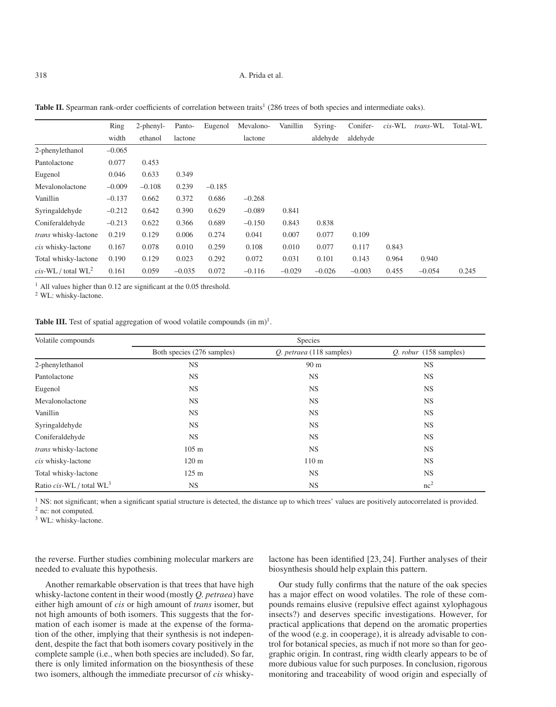|                                   | Ring     | $2$ -phenyl- | Panto-   | Eugenol  | Mevalono- | Vanillin | Syring-  | Conifer- | $cis-WL$ | trans-WL | Total-WL |
|-----------------------------------|----------|--------------|----------|----------|-----------|----------|----------|----------|----------|----------|----------|
|                                   | width    | ethanol      | lactone  |          | lactone   |          | aldehyde | aldehyde |          |          |          |
| 2-phenylethanol                   | $-0.065$ |              |          |          |           |          |          |          |          |          |          |
| Pantolactone                      | 0.077    | 0.453        |          |          |           |          |          |          |          |          |          |
| Eugenol                           | 0.046    | 0.633        | 0.349    |          |           |          |          |          |          |          |          |
| Mevalonolactone                   | $-0.009$ | $-0.108$     | 0.239    | $-0.185$ |           |          |          |          |          |          |          |
| Vanillin                          | $-0.137$ | 0.662        | 0.372    | 0.686    | $-0.268$  |          |          |          |          |          |          |
| Syringaldehyde                    | $-0.212$ | 0.642        | 0.390    | 0.629    | $-0.089$  | 0.841    |          |          |          |          |          |
| Coniferaldehyde                   | $-0.213$ | 0.622        | 0.366    | 0.689    | $-0.150$  | 0.843    | 0.838    |          |          |          |          |
| trans whisky-lactone              | 0.219    | 0.129        | 0.006    | 0.274    | 0.041     | 0.007    | 0.077    | 0.109    |          |          |          |
| cis whisky-lactone                | 0.167    | 0.078        | 0.010    | 0.259    | 0.108     | 0.010    | 0.077    | 0.117    | 0.843    |          |          |
| Total whisky-lactone              | 0.190    | 0.129        | 0.023    | 0.292    | 0.072     | 0.031    | 0.101    | 0.143    | 0.964    | 0.940    |          |
| $cis$ -WL / total WL <sup>2</sup> | 0.161    | 0.059        | $-0.035$ | 0.072    | $-0.116$  | $-0.029$ | $-0.026$ | $-0.003$ | 0.455    | $-0.054$ | 0.245    |

**Table II.** Spearman rank-order coefficients of correlation between traits<sup>1</sup> (286 trees of both species and intermediate oaks).

<sup>1</sup> All values higher than 0.12 are significant at the 0.05 threshold.

<sup>2</sup> WL: whisky-lactone.

**Table III.** Test of spatial aggregation of wood volatile compounds  $(in m)<sup>1</sup>$ .

| Volatile compounds          | Species                    |                          |                          |  |  |  |
|-----------------------------|----------------------------|--------------------------|--------------------------|--|--|--|
|                             | Both species (276 samples) | Q. petraea (118 samples) | $Q.$ robur (158 samples) |  |  |  |
| 2-phenylethanol             | <b>NS</b>                  | 90 <sub>m</sub>          | <b>NS</b>                |  |  |  |
| Pantolactone                | <b>NS</b>                  | <b>NS</b>                | <b>NS</b>                |  |  |  |
| Eugenol                     | <b>NS</b>                  | <b>NS</b>                | <b>NS</b>                |  |  |  |
| Mevalonolactone             | <b>NS</b>                  | <b>NS</b>                | <b>NS</b>                |  |  |  |
| Vanillin                    | <b>NS</b>                  | <b>NS</b>                | <b>NS</b>                |  |  |  |
| Syringaldehyde              | <b>NS</b>                  | <b>NS</b>                | <b>NS</b>                |  |  |  |
| Coniferaldehyde             | <b>NS</b>                  | <b>NS</b>                | <b>NS</b>                |  |  |  |
| trans whisky-lactone        | 105 m                      | <b>NS</b>                | <b>NS</b>                |  |  |  |
| cis whisky-lactone          | 120 m                      | 110 <sub>m</sub>         | <b>NS</b>                |  |  |  |
| Total whisky-lactone        | 125 m                      | <b>NS</b>                | <b>NS</b>                |  |  |  |
| Ratio cis-WL / total $WL^3$ | NS.                        | <b>NS</b>                | nc <sup>2</sup>          |  |  |  |

 $<sup>1</sup>$  NS: not significant; when a significant spatial structure is detected, the distance up to which trees' values are positively autocorrelated is provided.</sup>

<sup>2</sup> nc: not computed.

<sup>3</sup> WL: whisky-lactone.

the reverse. Further studies combining molecular markers are needed to evaluate this hypothesis.

lactone has been identified [23, 24]. Further analyses of their biosynthesis should help explain this pattern.

Another remarkable observation is that trees that have high whisky-lactone content in their wood (mostly *Q. petraea*) have either high amount of *cis* or high amount of *trans* isomer, but not high amounts of both isomers. This suggests that the formation of each isomer is made at the expense of the formation of the other, implying that their synthesis is not independent, despite the fact that both isomers covary positively in the complete sample (i.e., when both species are included). So far, there is only limited information on the biosynthesis of these two isomers, although the immediate precursor of *cis* whisky-

Our study fully confirms that the nature of the oak species has a major effect on wood volatiles. The role of these compounds remains elusive (repulsive effect against xylophagous insects?) and deserves specific investigations. However, for practical applications that depend on the aromatic properties of the wood (e.g. in cooperage), it is already advisable to control for botanical species, as much if not more so than for geographic origin. In contrast, ring width clearly appears to be of more dubious value for such purposes. In conclusion, rigorous monitoring and traceability of wood origin and especially of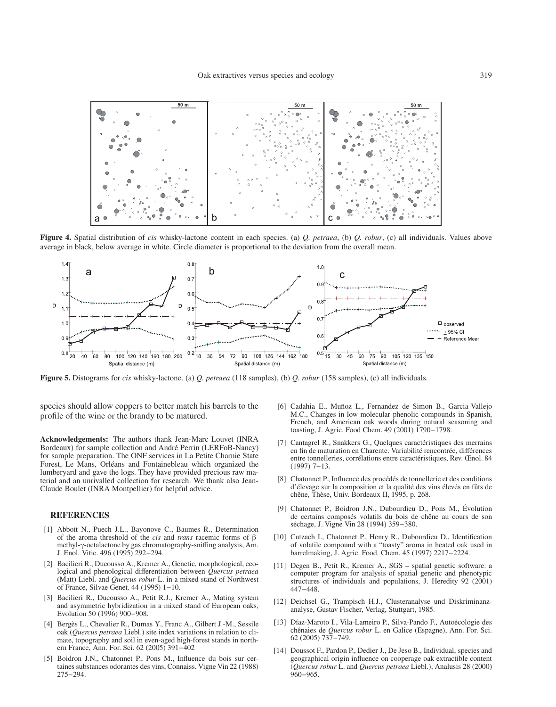

**Figure 4.** Spatial distribution of *cis* whisky-lactone content in each species. (a) *Q. petraea*, (b) *Q. robur*, (c) all individuals. Values above average in black, below average in white. Circle diameter is proportional to the deviation from the overall mean.



**Figure 5.** Distograms for *cis* whisky-lactone. (a) *Q. petraea* (118 samples), (b) *Q. robur* (158 samples), (c) all individuals.

species should allow coppers to better match his barrels to the profile of the wine or the brandy to be matured.

**Acknowledgements:** The authors thank Jean-Marc Louvet (INRA Bordeaux) for sample collection and André Perrin (LERFoB-Nancy) for sample preparation. The ONF services in La Petite Charnie State Forest, Le Mans, Orléans and Fontainebleau which organized the lumberyard and gave the logs. They have provided precious raw material and an unrivalled collection for research. We thank also Jean-Claude Boulet (INRA Montpellier) for helpful advice.

## **REFERENCES**

- [1] Abbott N., Puech J.L., Bayonove C., Baumes R., Determination of the aroma threshold of the *cis* and *trans* racemic forms of βmethyl-γ-octalactone by gas chromatography-sniffing analysis, Am. J. Enol. Vitic. 496 (1995) 292−294.
- [2] Bacilieri R., Ducousso A., Kremer A., Genetic, morphological, ecological and phenological differentiation between *Quercus petraea* (Matt) Liebl. and *Quercus robur* L. in a mixed stand of Northwest of France, Silvae Genet. 44 (1995) 1−10.
- [3] Bacilieri R., Ducousso A., Petit R.J., Kremer A., Mating system and asymmetric hybridization in a mixed stand of European oaks, Evolution 50 (1996) 900−908.
- [4] Bergès L., Chevalier R., Dumas Y., Franc A., Gilbert J.-M., Sessile oak (*Quercus petraea* Liebl.) site index variations in relation to climate, topography and soil in even-aged high-forest stands in northern France, Ann. For. Sci. 62 (2005) 391−402
- [5] Boidron J.N., Chatonnet P., Pons M., Influence du bois sur certaines substances odorantes des vins, Connaiss. Vigne Vin 22 (1988) 275−294.
- [6] Cadahia E., Muñoz L., Fernandez de Simon B., Garcia-Vallejo M.C., Changes in low molecular phenolic compounds in Spanish, French, and American oak woods during natural seasoning and toasting, J. Agric. Food Chem. 49 (2001) 1790−1798.
- [7] Cantagrel R., Snakkers G., Quelques caractéristiques des merrains en fin de maturation en Charente. Variabilité rencontrée, différences entre tonnelleries, corrélations entre caractéristiques, Rev. Œnol. 84 (1997) 7−13.
- [8] Chatonnet P., Influence des procédés de tonnellerie et des conditions d'élevage sur la composition et la qualité des vins élevés en fûts de chêne, Thèse, Univ. Bordeaux II, 1995, p. 268.
- [9] Chatonnet P., Boidron J.N., Dubourdieu D., Pons M., Évolution de certains composés volatils du bois de chêne au cours de son séchage, J. Vigne Vin 28 (1994) 359−380.
- [10] Cutzach I., Chatonnet P., Henry R., Dubourdieu D., Identification of volatile compound with a "toasty" aroma in heated oak used in barrelmaking, J. Agric. Food. Chem. 45 (1997) 2217−2224.
- [11] Degen B., Petit R., Kremer A., SGS spatial genetic software: a computer program for analysis of spatial genetic and phenotypic structures of individuals and populations, J. Heredity 92 (2001) 447−448.
- [12] Deichsel G., Trampisch H.J., Clusteranalyse und Diskriminanzanalyse, Gustav Fischer, Verlag, Stuttgart, 1985.
- [13] Díaz-Maroto I., Vila-Lameiro P., Silva-Pando F., Autoécologie des chênaies de *Quercus robur* L. en Galice (Espagne), Ann. For. Sci. 62 (2005) 737−749.
- [14] Doussot F., Pardon P., Dedier J., De Jeso B., Individual, species and geographical origin influence on cooperage oak extractible content (*Quercus robur* L. and *Quercus petraea* Liebl.), Analusis 28 (2000) 960−965.